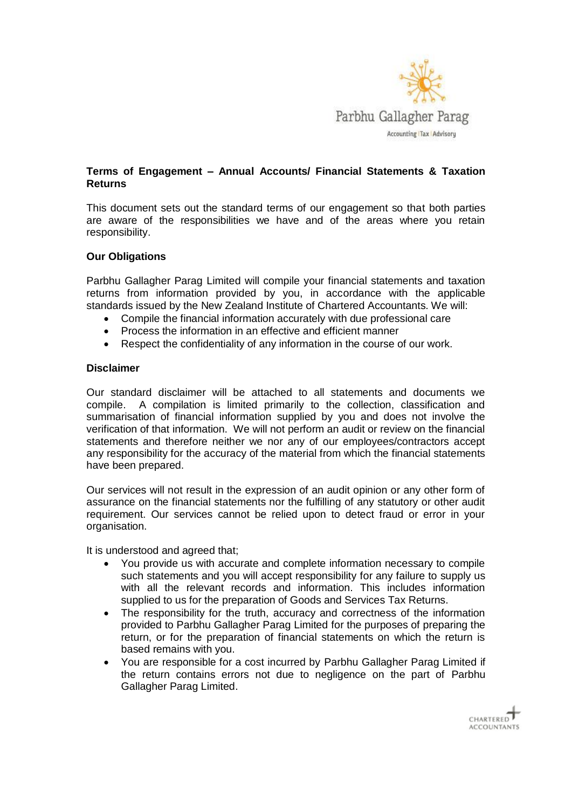

# **Terms of Engagement – Annual Accounts/ Financial Statements & Taxation Returns**

This document sets out the standard terms of our engagement so that both parties are aware of the responsibilities we have and of the areas where you retain responsibility.

## **Our Obligations**

Parbhu Gallagher Parag Limited will compile your financial statements and taxation returns from information provided by you, in accordance with the applicable standards issued by the New Zealand Institute of Chartered Accountants. We will:

- Compile the financial information accurately with due professional care
- Process the information in an effective and efficient manner
- Respect the confidentiality of any information in the course of our work.

### **Disclaimer**

Our standard disclaimer will be attached to all statements and documents we compile. A compilation is limited primarily to the collection, classification and summarisation of financial information supplied by you and does not involve the verification of that information. We will not perform an audit or review on the financial statements and therefore neither we nor any of our employees/contractors accept any responsibility for the accuracy of the material from which the financial statements have been prepared.

Our services will not result in the expression of an audit opinion or any other form of assurance on the financial statements nor the fulfilling of any statutory or other audit requirement. Our services cannot be relied upon to detect fraud or error in your organisation.

It is understood and agreed that;

- You provide us with accurate and complete information necessary to compile such statements and you will accept responsibility for any failure to supply us with all the relevant records and information. This includes information supplied to us for the preparation of Goods and Services Tax Returns.
- The responsibility for the truth, accuracy and correctness of the information provided to Parbhu Gallagher Parag Limited for the purposes of preparing the return, or for the preparation of financial statements on which the return is based remains with you.
- You are responsible for a cost incurred by Parbhu Gallagher Parag Limited if the return contains errors not due to negligence on the part of Parbhu Gallagher Parag Limited.

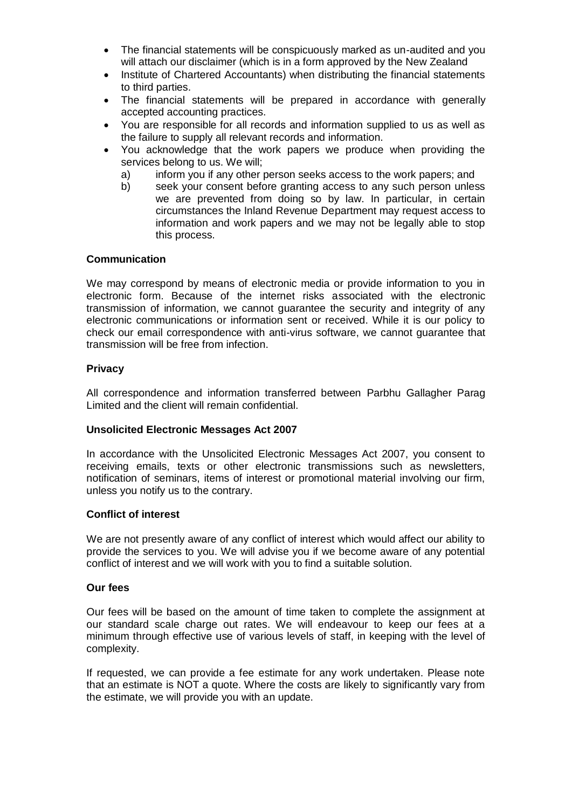- The financial statements will be conspicuously marked as un-audited and you will attach our disclaimer (which is in a form approved by the New Zealand
- Institute of Chartered Accountants) when distributing the financial statements to third parties.
- The financial statements will be prepared in accordance with generally accepted accounting practices.
- You are responsible for all records and information supplied to us as well as the failure to supply all relevant records and information.
- You acknowledge that the work papers we produce when providing the services belong to us. We will;
	- a) inform you if any other person seeks access to the work papers; and
	- b) seek your consent before granting access to any such person unless we are prevented from doing so by law. In particular, in certain circumstances the Inland Revenue Department may request access to information and work papers and we may not be legally able to stop this process.

## **Communication**

We may correspond by means of electronic media or provide information to you in electronic form. Because of the internet risks associated with the electronic transmission of information, we cannot guarantee the security and integrity of any electronic communications or information sent or received. While it is our policy to check our email correspondence with anti-virus software, we cannot guarantee that transmission will be free from infection.

## **Privacy**

All correspondence and information transferred between Parbhu Gallagher Parag Limited and the client will remain confidential.

### **Unsolicited Electronic Messages Act 2007**

In accordance with the Unsolicited Electronic Messages Act 2007, you consent to receiving emails, texts or other electronic transmissions such as newsletters, notification of seminars, items of interest or promotional material involving our firm, unless you notify us to the contrary.

## **Conflict of interest**

We are not presently aware of any conflict of interest which would affect our ability to provide the services to you. We will advise you if we become aware of any potential conflict of interest and we will work with you to find a suitable solution.

### **Our fees**

Our fees will be based on the amount of time taken to complete the assignment at our standard scale charge out rates. We will endeavour to keep our fees at a minimum through effective use of various levels of staff, in keeping with the level of complexity.

If requested, we can provide a fee estimate for any work undertaken. Please note that an estimate is NOT a quote. Where the costs are likely to significantly vary from the estimate, we will provide you with an update.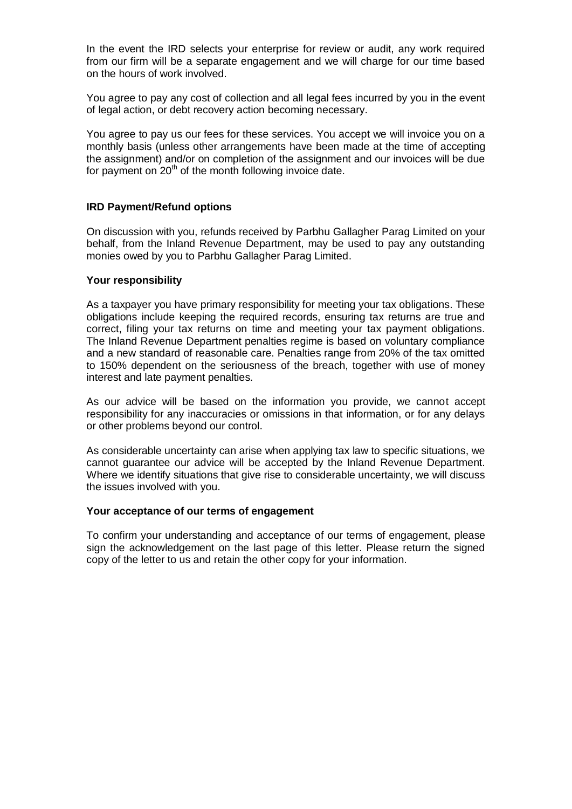In the event the IRD selects your enterprise for review or audit, any work required from our firm will be a separate engagement and we will charge for our time based on the hours of work involved.

You agree to pay any cost of collection and all legal fees incurred by you in the event of legal action, or debt recovery action becoming necessary.

You agree to pay us our fees for these services. You accept we will invoice you on a monthly basis (unless other arrangements have been made at the time of accepting the assignment) and/or on completion of the assignment and our invoices will be due for payment on  $20<sup>th</sup>$  of the month following invoice date.

### **IRD Payment/Refund options**

On discussion with you, refunds received by Parbhu Gallagher Parag Limited on your behalf, from the Inland Revenue Department, may be used to pay any outstanding monies owed by you to Parbhu Gallagher Parag Limited.

#### **Your responsibility**

As a taxpayer you have primary responsibility for meeting your tax obligations. These obligations include keeping the required records, ensuring tax returns are true and correct, filing your tax returns on time and meeting your tax payment obligations. The Inland Revenue Department penalties regime is based on voluntary compliance and a new standard of reasonable care. Penalties range from 20% of the tax omitted to 150% dependent on the seriousness of the breach, together with use of money interest and late payment penalties.

As our advice will be based on the information you provide, we cannot accept responsibility for any inaccuracies or omissions in that information, or for any delays or other problems beyond our control.

As considerable uncertainty can arise when applying tax law to specific situations, we cannot guarantee our advice will be accepted by the Inland Revenue Department. Where we identify situations that give rise to considerable uncertainty, we will discuss the issues involved with you.

#### **Your acceptance of our terms of engagement**

To confirm your understanding and acceptance of our terms of engagement, please sign the acknowledgement on the last page of this letter. Please return the signed copy of the letter to us and retain the other copy for your information.